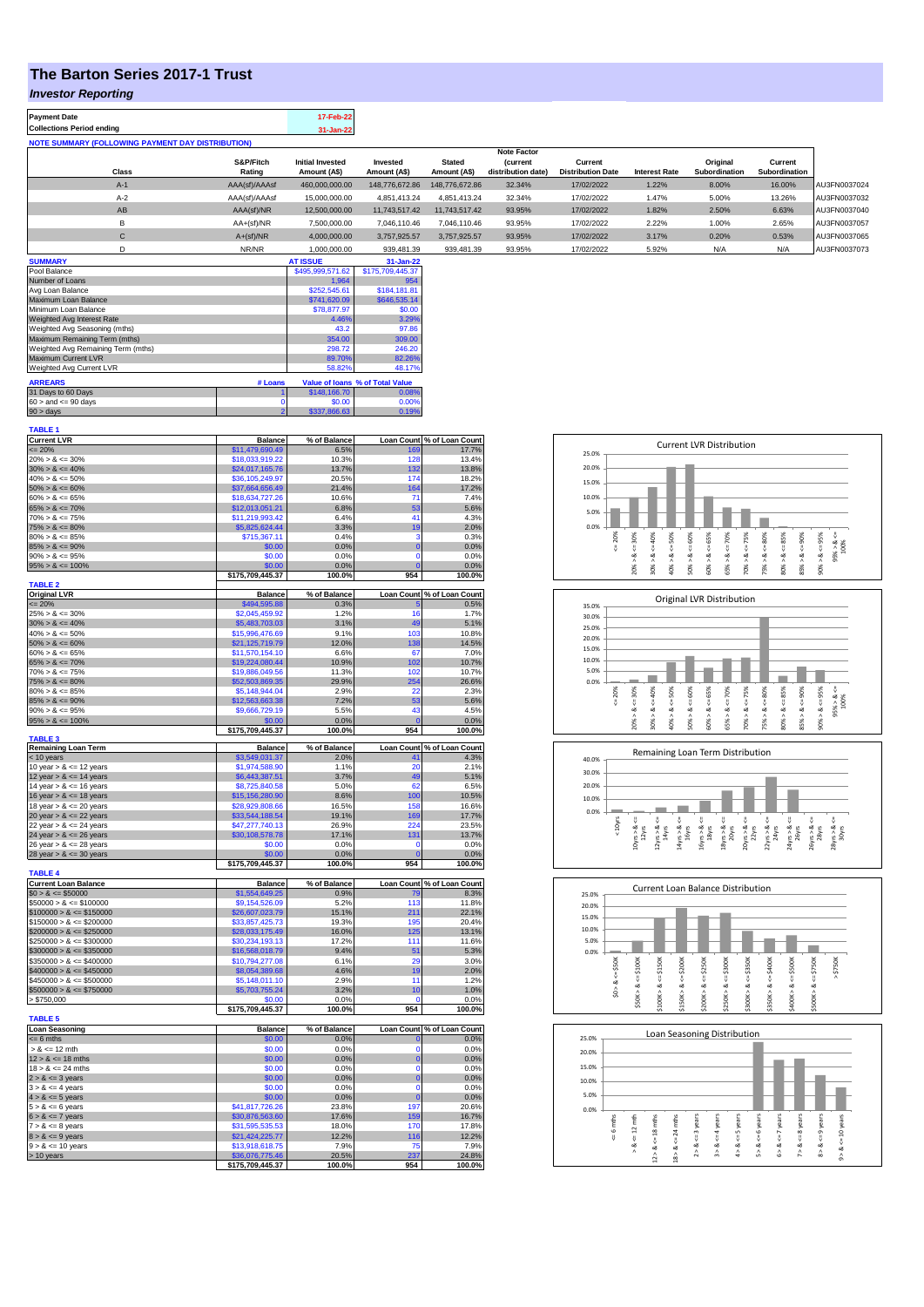## **The Barton Series 2017-1 Trust**

### *Investor Reporting*

| <b>Payment Date</b>                                      | 17-Feb-22 |
|----------------------------------------------------------|-----------|
| <b>Collections Period ending</b>                         | 31-Jan-22 |
| <b>NOTE SUMMARY (FOLLOWING PAYMENT DAY DISTRIBUTION)</b> |           |

|              |               |                         |                |                | <b>Note Factor</b> |                          |               |               |               |              |
|--------------|---------------|-------------------------|----------------|----------------|--------------------|--------------------------|---------------|---------------|---------------|--------------|
|              | S&P/Fitch     | <b>Initial Invested</b> | Invested       | <b>Stated</b>  | <b>Current</b>     | Current                  |               | Original      | Current       |              |
| <b>Class</b> | Rating        | Amount (A\$)            | Amount (A\$)   | Amount (A\$)   | distribution date) | <b>Distribution Date</b> | Interest Rate | Subordination | Subordination |              |
| $A-1$        | AAA(sf)/AAAsf | 460.000.000.00          | 148.776.672.86 | 148.776.672.86 | 32.34%             | 17/02/2022               | 1.22%         | 8.00%         | 16.00%        | AU3FN0037024 |
| $A-2$        | AAA(sf)/AAAsf | 15,000,000,00           | 4.851.413.24   | 4.851.413.24   | 32.34%             | 17/02/2022               | 1.47%         | 5.00%         | 13.26%        | AU3FN0037032 |
| AB           | AAA(sf)/NR    | 12,500,000,00           | 11.743.517.42  | 11,743,517,42  | 93.95%             | 17/02/2022               | 1.82%         | 2.50%         | 6.63%         | AU3FN0037040 |
| в            | AA+(sf)/NR    | 7.500.000.00            | 7.046.110.46   | 7.046.110.46   | 93.95%             | 17/02/2022               | 2.22%         | 1.00%         | 2.65%         | AU3FN0037057 |
| $\mathsf{C}$ | $A+(sf)/NR$   | 4.000.000.00            | 3.757.925.57   | 3.757.925.57   | 93.95%             | 17/02/2022               | 3.17%         | 0.20%         | 0.53%         | AU3FN0037065 |
|              | NR/NR         | 1,000,000.00            | 939.481.39     | 939.481.39     | 93.95%             | 17/02/2022               | 5.92%         | N/A           | N/A           | AU3FN0037073 |
| ------------ |               | -----------             |                |                |                    |                          |               |               |               |              |

| <b>SUMMARY</b>                     |         | <b>AT ISSUE</b>  | 31-Jan-22                       |
|------------------------------------|---------|------------------|---------------------------------|
| Pool Balance                       |         | \$495,999,571.62 | \$175,709,445.37                |
| Number of Loans                    |         | 1.964            | 954                             |
| Avg Loan Balance                   |         | \$252,545.61     | \$184.181.81                    |
| Maximum Loan Balance               |         | \$741,620.09     | \$646,535.14                    |
| Minimum Loan Balance               |         | \$78,877.97      | \$0.00                          |
| Weighted Avg Interest Rate         |         | 4.46%            | 3.29%                           |
| Weighted Avg Seasoning (mths)      |         | 43.2             | 97.86                           |
| Maximum Remaining Term (mths)      |         | 354.00           | 309.00                          |
| Weighted Avg Remaining Term (mths) |         | 298.72           | 246.20                          |
| Maximum Current LVR                |         | 89.70%           | 82.26%                          |
| Weighted Avg Current LVR           |         | 58.82%           | 48.17%                          |
| <b>ARREARS</b>                     | # Loans |                  | Value of Ioans % of Total Value |
| 31 Days to 60 Days                 |         | \$148,166.70     | 0.08%                           |
| $60 >$ and $\leq 90$ days          |         | \$0.00           | 0.00%                           |
| $90 >$ days                        | 2       | \$337,866.63     | 0.19%                           |

| <b>TABLE 1</b>                                          |                                     |                 |                |                            |
|---------------------------------------------------------|-------------------------------------|-----------------|----------------|----------------------------|
| <b>Current LVR</b>                                      | <b>Balance</b>                      | % of Balance    |                | Loan Count % of Loan Count |
| $= 20%$                                                 | \$11,479,690.49                     | 6.5%            | 169            | 17.7%                      |
| $20\% > 8 \le 30\%$                                     | \$18,033,919.22                     | 10.3%           | 128            | 13.4%                      |
| $30\% > 8 \le 40\%$                                     | \$24,017,165.76                     | 13.7%           | 132            | 13.8%                      |
| $40\% > 8 \le 50\%$                                     | \$36,105,249.97                     | 20.5%           | 174            | 18.2%                      |
| $50\% > 8 \le 60\%$<br>$60\% > 8 \le 65\%$              | \$37,664,656.49<br>\$18,634,727.26  | 21.4%<br>10.6%  | 164<br>71      | 17.2%<br>7.4%              |
| $65\% > 8 \le 70\%$                                     | \$12,013,051.21                     | 6.8%            | 53             | 5.6%                       |
| $70\% > 8 \le 75\%$                                     | \$11,219,993.42                     | 6.4%            | 41             | 4.3%                       |
| $75\% > 8 \le 80\%$                                     | \$5,825,624.44                      | 3.3%            | 19             | 2.0%                       |
| $80\% > 8 \le 85\%$                                     | \$715,367.11                        | 0.4%            | 3              | 0.3%                       |
| $85\% > 8 \le 90\%$                                     | \$0.00                              | 0.0%            | $\overline{0}$ | 0.0%                       |
| $90\% > 8 \le 95\%$                                     | \$0.00                              | 0.0%            | 0              | 0.0%                       |
| $95\% > 8 \le 100\%$                                    | \$0.00                              | 0.0%            | $\overline{0}$ | 0.0%                       |
|                                                         | \$175,709,445.37                    | 100.0%          | 954            | 100.0%                     |
| <b>TABLE 2</b>                                          |                                     |                 |                |                            |
| <b>Original LVR</b>                                     | Balance                             | % of Balance    |                | Loan Count % of Loan Count |
| $= 20%$                                                 | \$494,595.88                        | 0.3%            | 5              | 0.5%                       |
| $25\% > 8 \le 30\%$                                     | \$2,045,459.92                      | 1.2%            | 16             | 1.7%                       |
| $30\% > 8 \le 40\%$                                     | \$5,483,703.03                      | 3.1%            | 49             | 5.1%                       |
| $40\% > 8 \le 50\%$                                     | \$15,996,476.69                     | 9.1%            | 103            | 10.8%                      |
| $50\% > 8 \le 60\%$                                     | \$21,125,719.79                     | 12.0%           | 138            | 14.5%                      |
| $60\% > 8 \le 65\%$                                     | \$11,570,154.10                     | 6.6%            | 67             | 7.0%                       |
| $65\% > 8 \le 70\%$                                     | \$19,224,080.44                     | 10.9%           | 102            | 10.7%                      |
| $70\% > 8 \le 75\%$                                     | \$19,886,049.56                     | 11.3%           | 102            | 10.7%                      |
| $75\% > 8 \le 80\%$                                     | \$52,503,869.35                     | 29.9%           | 254            | 26.6%                      |
| $80\% > 8 \le 85\%$                                     | \$5,148,944.04                      | 2.9%            | 22             | 2.3%                       |
| $85\% > 8 \le 90\%$                                     | \$12,563,663.38                     | 7.2%            | 53             | 5.6%                       |
| $90\% > 8 \le 95\%$                                     | \$9,666,729.19                      | 5.5%            | 43<br>$\Omega$ | 4.5%                       |
| $95\% > 8 \le 100\%$                                    | \$0.00                              | 0.0%            |                | 0.0%                       |
| <b>TABLE 3</b>                                          | \$175,709,445.37                    | 100.0%          | 954            | 100.0%                     |
| <b>Remaining Loan Term</b>                              | <b>Balance</b>                      | % of Balance    |                | Loan Count % of Loan Count |
| < 10 years                                              | \$3,549,031.37                      | 2.0%            |                | 4.3%                       |
| 10 year $> 8 \le 12$ years                              | \$1,974,588.90                      | 1.1%            | 20             | 2.1%                       |
| 12 year $> 8 \le 14$ years                              | \$6,443,387.51                      | 3.7%            | 49             | 5.1%                       |
| 14 year $> 8 \le 16$ years                              | \$8,725,840.58                      | 5.0%            | 62             | 6.5%                       |
| 16 year $> 8 \le 18$ years                              | \$15,156,280.90                     | 8.6%            | 100            | 10.5%                      |
| 18 year $> 8 \le 20$ years                              | \$28,929,808.66                     | 16.5%           | 158            | 16.6%                      |
| 20 year $> 8 \le 22$ years                              | \$33,544,188.54                     | 19.1%           | 169            | 17.7%                      |
| 22 year $> 8 \le 24$ years                              | \$47,277,740.13                     | 26.9%           | 224            | 23.5%                      |
| 24 year $> 8 \le 26$ years                              | \$30,108,578.78                     | 17.1%           | 131            | 13.7%                      |
| 26 year $> 8 \le 28$ years                              | \$0.00                              | 0.0%            | $\mathbf{0}$   | 0.0%                       |
| 28 year $> 8 \le 30$ years                              | \$0.00                              | 0.0%            | $\overline{0}$ | $0.0\%$                    |
|                                                         | \$175,709,445.37                    | 100.0%          | 954            | 100.0%                     |
| <b>TABLE 4</b>                                          |                                     |                 |                |                            |
| <b>Current Loan Balance</b>                             | <b>Balance</b>                      | % of Balance    |                | Loan Count % of Loan Count |
| $$0 > 8 \le $50000$                                     | \$1,554,649.25                      | 0.9%            | 79             | 8.3%                       |
| $$50000 > 8 \le $100000$                                | \$9,154,526.09                      | 5.2%            | 113            | 11.8%                      |
| $$100000 > 8 \le $150000$                               | \$26,607,023.79                     | 15.1%           | 211            | 22.1%                      |
| $$150000 > 8 \le $200000$                               | \$33,857,425.73                     | 19.3%           | 195<br>125     | 20.4%                      |
| $$200000 > 8 \leq $250000$<br>$$250000 > 8 \le $300000$ | \$28,033,175.49<br>\$30,234,193.13  | 16.0%<br>17.2%  | 111            | 13.1%<br>11.6%             |
| $$300000 > 8 \le $350000$                               | \$16,568,018.79                     | 9.4%            | 51             | 5.3%                       |
| $$350000 > 8 \le $400000$                               | \$10,794,277.08                     | 6.1%            | 29             | 3.0%                       |
| $$400000 > 8 \le $450000$                               | \$8,054,389.68                      | 4.6%            | 19             | 2.0%                       |
| $$450000 > 8 \leq $500000$                              | \$5.148.011.10                      | 2.9%            | 11             | 1.2%                       |
| $$500000 > 8 \le $750000$                               | \$5,703,755.24                      | 3.2%            | 10             | 1.0%                       |
| > \$750,000                                             | \$0.00                              | 0.0%            | O              | 0.0%                       |
|                                                         | \$175,709,445.37                    | 100.0%          | 954            | 100.0%                     |
| <b>TABLE 5</b>                                          |                                     |                 |                |                            |
| <b>Loan Seasoning</b>                                   | <b>Balance</b>                      | % of Balance    |                | Loan Count % of Loan Count |
| $= 6$ mths                                              | \$0.00                              | 0.0%            | $\mathbf{0}$   | 0.0%                       |
| $> 8 \le 12$ mth                                        | \$0.00                              | 0.0%            | $\Omega$       | 0.0%                       |
| $12 > 8 \le 18$ mths                                    | \$0.00                              | 0.0%            | $\pmb{0}$      | 0.0%                       |
| $18 > 8 \le 24$ mths                                    | \$0.00                              | 0.0%            | $\Omega$       | 0.0%                       |
| $2 > 8 \le 3$ years                                     | \$0.00                              | 0.0%            | $\overline{0}$ | 0.0%                       |
| $3 > 8 \le 4$ years                                     | \$0.00                              | 0.0%            | $\mathbf 0$    | 0.0%                       |
| $4 > 8 \le 5$ years                                     | \$0.00                              | 0.0%            | $\overline{0}$ | 0.0%                       |
| $5 > 8 \le 6$ years                                     | \$41,817,726.26                     | 23.8%           | 197            | 20.6%                      |
| $6 > 8 \le 7$ years                                     |                                     |                 | 159            | 16.7%                      |
|                                                         | \$30,876,563.60                     | 17.6%           |                |                            |
| $7 > 8 \le 8$ years                                     | \$31,595,535.53                     | 18.0%           | 170            | 17.8%                      |
| $8 > 8 \le 9$ years                                     | \$21,424,225.77                     | 12.2%           | 116            | 12.2%                      |
| $9 > 8 \le 10$ years                                    | \$13,918,618.75                     | 7.9%            | 75             | 7.9%                       |
| > 10 years                                              | \$36,076,775.46<br>\$175,709,445.37 | 20.5%<br>100.0% | 237<br>954     | 24.8%<br>100.0%            |



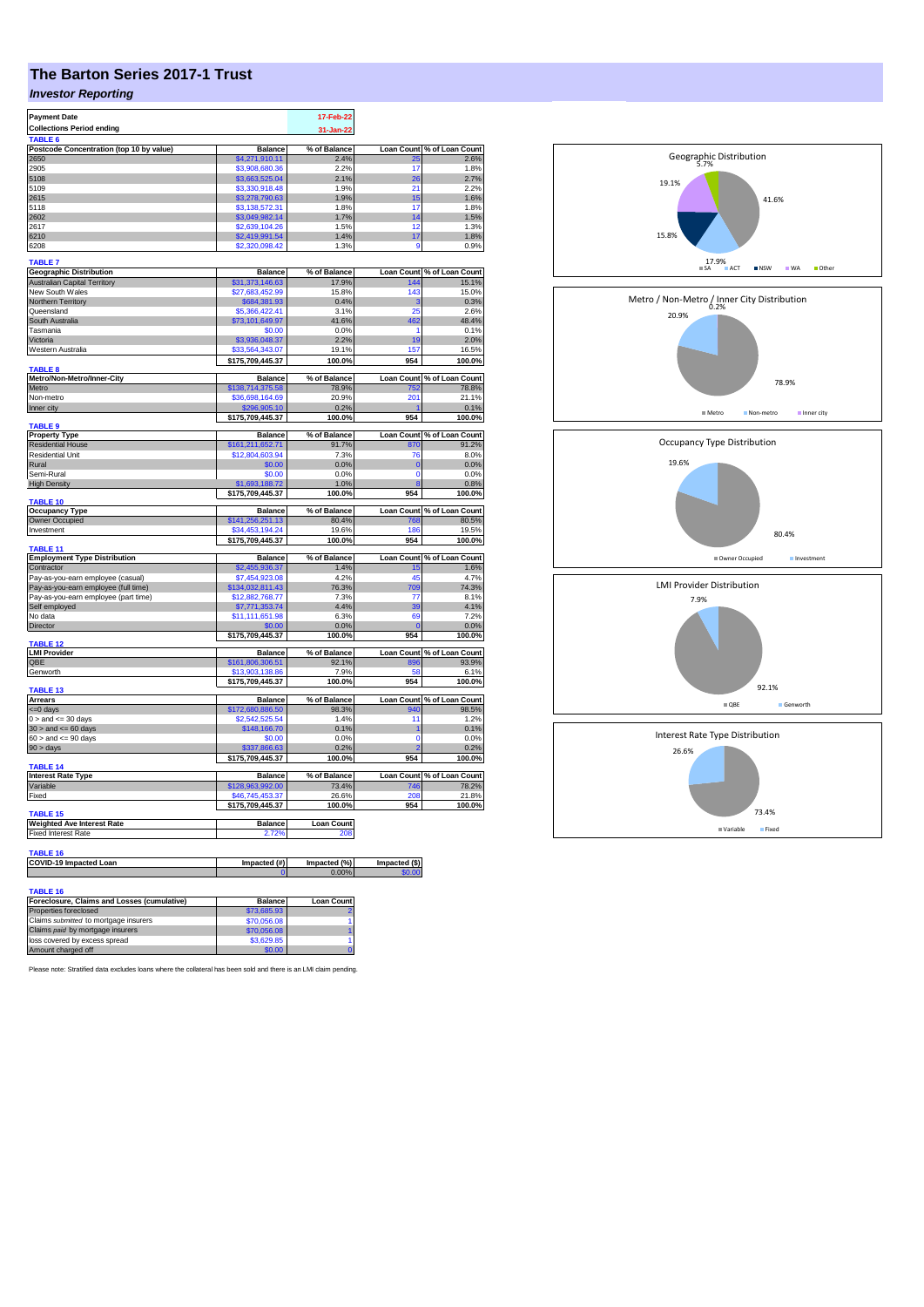# **The Barton Series 2017-1 Trust**

## *Investor Reporting*

| <b>Payment Date</b>                               |                                     | 17-Feb-22         |                   |                                                                                                                                                                                                                                                                                                                    |
|---------------------------------------------------|-------------------------------------|-------------------|-------------------|--------------------------------------------------------------------------------------------------------------------------------------------------------------------------------------------------------------------------------------------------------------------------------------------------------------------|
| <b>Collections Period ending</b>                  |                                     | 31-Jan-22         |                   |                                                                                                                                                                                                                                                                                                                    |
| TABLE 6                                           |                                     |                   |                   |                                                                                                                                                                                                                                                                                                                    |
| Postcode Concentration (top 10 by value)          | <b>Balance</b>                      | % of Balance      | <b>Loan Count</b> | % of Loan Count                                                                                                                                                                                                                                                                                                    |
| 2650                                              | \$4.271.910.11                      | 2.4%              | つら<br>17          | 2.6%<br>1.8%                                                                                                                                                                                                                                                                                                       |
| 2905<br>5108                                      | \$3,908,680.36<br>\$3,663,525.04    | 2.2%<br>2.1%      | 26                | 2.7%                                                                                                                                                                                                                                                                                                               |
| 5109                                              | \$3,330,918.48                      | 1.9%              | 21                | 2.2%                                                                                                                                                                                                                                                                                                               |
| 2615                                              | \$3,278,790.63                      | 1.9%              | 15                | 1.6%                                                                                                                                                                                                                                                                                                               |
| 5118                                              | \$3.138.572.31                      | 1.8%              | 17                | 1.8%                                                                                                                                                                                                                                                                                                               |
| 2602                                              | \$3,049,982.14                      | 1.7%              | 14                | 1.5%                                                                                                                                                                                                                                                                                                               |
| 2617                                              | \$2,639,104.26                      | 1.5%              | 12                | 1.3%                                                                                                                                                                                                                                                                                                               |
| 6210                                              | \$2,419,991.54                      | 1.4%              | 17                | 1.8%                                                                                                                                                                                                                                                                                                               |
| 6208                                              | \$2,320,098.42                      | 1.3%              | 9                 | 0.9%                                                                                                                                                                                                                                                                                                               |
| <b>TABLE 7</b>                                    |                                     |                   |                   |                                                                                                                                                                                                                                                                                                                    |
| <b>Geographic Distribution</b>                    | <b>Balance</b>                      | % of Balance      |                   | Loan Count % of Loan Count                                                                                                                                                                                                                                                                                         |
| Australian Capital Territory                      | \$31,373,146.63                     | 17.9%             | 144               | 15.1%                                                                                                                                                                                                                                                                                                              |
| New South Wales<br>Northern Territory             | \$27,683,452.99<br>\$684,381.93     | 15.8%<br>0.4%     | 143<br>3          | 15.0%<br>0.3%                                                                                                                                                                                                                                                                                                      |
| Queensland                                        | \$5,366,422.41                      | 3.1%              | 25                | 2.6%                                                                                                                                                                                                                                                                                                               |
| South Australia                                   | \$73,101,649.97                     | 41.6%             | 462               | 48.4%                                                                                                                                                                                                                                                                                                              |
| Tasmania                                          | \$0.00                              | 0.0%              | 1                 | 0.1%                                                                                                                                                                                                                                                                                                               |
| Victoria                                          | \$3,936,048.37                      | 2.2%              | 19                | 2.0%                                                                                                                                                                                                                                                                                                               |
| Western Australia                                 | \$33,564,343.07                     | 19.1%             | 157               | 16.5%                                                                                                                                                                                                                                                                                                              |
|                                                   | \$175,709,445.37                    | 100.0%            | 954               | 100.0%                                                                                                                                                                                                                                                                                                             |
| TABLE 8<br>Metro/Non-Metro/Inner-City             | <b>Balance</b>                      | % of Balance      | Loan Count        | % of Loan Count                                                                                                                                                                                                                                                                                                    |
| Metro                                             | \$138,714,375.58                    | 78.9%             | 752               | 78.8%                                                                                                                                                                                                                                                                                                              |
| Non-metro                                         | \$36,698,164.69                     | 20.9%             | 201               | 21.1%                                                                                                                                                                                                                                                                                                              |
| Inner city                                        | \$296,905.10                        | 0.2%              |                   | 0.1%                                                                                                                                                                                                                                                                                                               |
| <b>TABLE 9</b>                                    | \$175,709,445.37                    | 100.0%            | 954               | 100.0%                                                                                                                                                                                                                                                                                                             |
| <b>Property Type</b>                              | Balance                             | % of Balance      |                   | Loan Count % of Loan Count                                                                                                                                                                                                                                                                                         |
| <b>Residential House</b>                          | \$161,211,652.71                    | 91.7%             | 870               | 91.2%                                                                                                                                                                                                                                                                                                              |
| <b>Residential Unit</b>                           | \$12,804,603.94                     | 7.3%              | 76                | 8.0%                                                                                                                                                                                                                                                                                                               |
| Rural                                             | \$0.00                              | 0.0%              | $\overline{0}$    | 0.0%                                                                                                                                                                                                                                                                                                               |
| Semi-Rural                                        | \$0.00                              | 0.0%              | $\Omega$          | 0.0%                                                                                                                                                                                                                                                                                                               |
| <b>High Density</b>                               | \$1,693,188.72                      | 1.0%              | <b>g</b>          | 0.8%                                                                                                                                                                                                                                                                                                               |
| <b>TABLE 10</b>                                   | \$175,709,445.37                    | 100.0%            | 954               | 100.0%                                                                                                                                                                                                                                                                                                             |
| <b>Occupancy Type</b>                             | <b>Balance</b>                      | % of Balance      |                   | Loan Count % of Loan Count                                                                                                                                                                                                                                                                                         |
|                                                   |                                     |                   |                   |                                                                                                                                                                                                                                                                                                                    |
| Owner Occupied                                    | \$141,256,251.13                    | 80.4%             | 768               |                                                                                                                                                                                                                                                                                                                    |
| Investment                                        | \$34,453,194.24                     | 19.6%             | 186               |                                                                                                                                                                                                                                                                                                                    |
|                                                   | \$175,709,445.37                    | 100.0%            | 954               |                                                                                                                                                                                                                                                                                                                    |
| <b>TABLE 11</b>                                   | <b>Balance</b>                      | % of Balance      | Loan Count        |                                                                                                                                                                                                                                                                                                                    |
| <b>Employment Type Distribution</b><br>Contractor | \$2,455,936.37                      | 1.4%              | 15                |                                                                                                                                                                                                                                                                                                                    |
| Pay-as-you-earn employee (casual)                 | \$7,454,923.08                      | 4.2%              | 45                |                                                                                                                                                                                                                                                                                                                    |
| Pay-as-you-earn employee (full time)              | \$134,032,811.43                    | 76.3%             | 709               |                                                                                                                                                                                                                                                                                                                    |
| Pay-as-you-earn employee (part time)              | \$12,882,768.77                     | 7.3%              | 77                |                                                                                                                                                                                                                                                                                                                    |
| Self employed                                     | \$7,771,353.74                      | 4.4%              | 39                |                                                                                                                                                                                                                                                                                                                    |
| No data                                           | \$11,111,651.98                     | 6.3%              | 69                |                                                                                                                                                                                                                                                                                                                    |
| Director                                          | \$0.00                              | 0.0%              | $\mathbf{0}$      |                                                                                                                                                                                                                                                                                                                    |
| <b>TABLE 12</b>                                   | \$175,709,445.37                    | 100.0%            | 954               |                                                                                                                                                                                                                                                                                                                    |
| <b>LMI Provider</b>                               | <b>Balance</b>                      | % of Balance      |                   |                                                                                                                                                                                                                                                                                                                    |
| QBE                                               | \$161,806,306.51                    | 92.1%             | 896               |                                                                                                                                                                                                                                                                                                                    |
| Genworth                                          | \$13,903,138.86<br>\$175,709,445.37 | 7.9%<br>100.0%    | 58<br>954         |                                                                                                                                                                                                                                                                                                                    |
| <b>TABLE 13</b>                                   |                                     |                   |                   |                                                                                                                                                                                                                                                                                                                    |
| <b>Arrears</b>                                    | <b>Balance</b>                      | % of Balance      |                   |                                                                                                                                                                                                                                                                                                                    |
| <= 0 days                                         | \$172,680,886.50                    | 98.3%             | 940               |                                                                                                                                                                                                                                                                                                                    |
| $0 >$ and $\leq$ 30 days                          | \$2,542,525.54                      | 1.4%              | 11                |                                                                                                                                                                                                                                                                                                                    |
| $30 >$ and $\leq 60$ days                         | \$148,166.70                        | 0.1%              | 1<br>$\Omega$     |                                                                                                                                                                                                                                                                                                                    |
| $60 >$ and $\leq 90$ days                         | \$0.00                              | 0.0%              |                   |                                                                                                                                                                                                                                                                                                                    |
| 90 > days                                         | \$337,866.63<br>\$175,709,445.37    | 0.2%<br>100.0%    | 954               |                                                                                                                                                                                                                                                                                                                    |
| TABLE 14                                          |                                     |                   |                   |                                                                                                                                                                                                                                                                                                                    |
| <b>Interest Rate Type</b>                         | <b>Balance</b>                      | % of Balance      |                   |                                                                                                                                                                                                                                                                                                                    |
| Variable                                          | \$128,963,992.00<br>\$46,745,453,37 | 73.4%<br>26.6%    | 746<br>208        |                                                                                                                                                                                                                                                                                                                    |
| Fixed                                             | \$175,709,445.37                    | 100.0%            | 954               |                                                                                                                                                                                                                                                                                                                    |
| <b>TABLE 15</b>                                   |                                     |                   |                   | 80.5%<br>19.5%<br>100.0%<br>% of Loan Count<br>1.6%<br>4.7%<br>74.3%<br>8.1%<br>4.1%<br>7 2%<br>0.0%<br>100.0%<br>Loan Count % of Loan Count<br>93.9%<br>6.1%<br>100.0%<br>Loan Count % of Loan Count<br>98.5%<br>1.2%<br>0.1%<br>0.0%<br>0.2%<br>100.0%<br>Loan Count % of Loan Count<br>78.2%<br>21.8%<br>100.0% |
| <b>Weighted Ave Interest Rate</b>                 | <b>Balance</b>                      | <b>Loan Count</b> |                   |                                                                                                                                                                                                                                                                                                                    |
| <b>Fixed Interest Rate</b>                        | 2.72%                               | 208               |                   |                                                                                                                                                                                                                                                                                                                    |
| <b>TABLE 16</b>                                   |                                     |                   |                   |                                                                                                                                                                                                                                                                                                                    |
| COVID-19 Impacted Loan                            | Impacted (#)                        | Impacted (%)      | Impacted (\$)     |                                                                                                                                                                                                                                                                                                                    |
|                                                   |                                     | 0.00%             | \$0.00            |                                                                                                                                                                                                                                                                                                                    |
| <b>TABLE 16</b>                                   |                                     |                   |                   |                                                                                                                                                                                                                                                                                                                    |

| Foreclosure, Claims and Losses (cumulative) | <b>Balance</b> | <b>Loan Count</b> |
|---------------------------------------------|----------------|-------------------|
| Properties foreclosed                       | \$73,685,93    |                   |
| Claims submitted to mortgage insurers       | \$70,056.08    |                   |
| Claims paid by mortgage insurers            | \$70,056.08    |                   |
| loss covered by excess spread               | \$3,629.85     |                   |
|                                             | \$0.00         |                   |
| Amount charged off                          |                |                   |

Please note: Stratified data excludes loans where the collateral has been sold and there is an LMI claim pending.